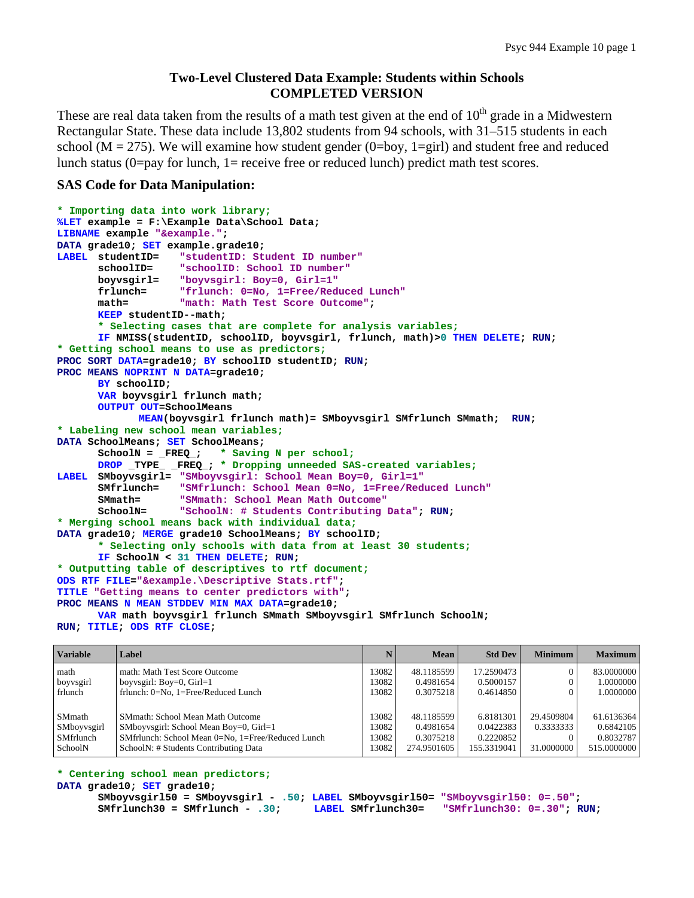# **Two-Level Clustered Data Example: Students within Schools COMPLETED VERSION**

These are real data taken from the results of a math test given at the end of  $10<sup>th</sup>$  grade in a Midwestern Rectangular State. These data include 13,802 students from 94 schools, with 31–515 students in each school ( $M = 275$ ). We will examine how student gender (0=boy, 1=girl) and student free and reduced lunch status (0=pay for lunch, 1= receive free or reduced lunch) predict math test scores.

### **SAS Code for Data Manipulation:**

```
* Importing data into work library; 
%LET example = F:\Example Data\School Data; 
LIBNAME example "&example."; 
DATA grade10; SET example.grade10; 
LABEL studentID= "studentID: Student ID number"
       schoolID= "schoolID: School ID number"
       boyvsgirl= "boyvsgirl: Boy=0, Girl=1"
       frlunch= "frlunch: 0=No, 1=Free/Reduced Lunch"
       math= "math: Math Test Score Outcome"; 
      KEEP studentID--math; 
       * Selecting cases that are complete for analysis variables;
      IF NMISS(studentID, schoolID, boyvsgirl, frlunch, math)>0 THEN DELETE; RUN; 
* Getting school means to use as predictors;
PROC SORT DATA=grade10; BY schoolID studentID; RUN; 
PROC MEANS NOPRINT N DATA=grade10; 
      BY schoolID; 
      VAR boyvsgirl frlunch math; 
      OUTPUT OUT=SchoolMeans 
              MEAN(boyvsgirl frlunch math)= SMboyvsgirl SMfrlunch SMmath; RUN; 
* Labeling new school mean variables;
DATA SchoolMeans; SET SchoolMeans; 
       SchoolN = _FREQ_; * Saving N per school;
      DROP _TYPE_ _FREQ_; * Dropping unneeded SAS-created variables;
LABEL SMboyvsgirl= "SMboyvsgirl: School Mean Boy=0, Girl=1"
       SMfrlunch= "SMfrlunch: School Mean 0=No, 1=Free/Reduced Lunch"
       SMmath= "SMmath: School Mean Math Outcome"
       SchoolN= "SchoolN: # Students Contributing Data"; RUN; 
* Merging school means back with individual data;
DATA grade10; MERGE grade10 SchoolMeans; BY schoolID; 
       * Selecting only schools with data from at least 30 students;
      IF SchoolN < 31 THEN DELETE; RUN; 
* Outputting table of descriptives to rtf document;
ODS RTF FILE="&example.\Descriptive Stats.rtf"; 
TITLE "Getting means to center predictors with"; 
PROC MEANS N MEAN STDDEV MIN MAX DATA=grade10; 
      VAR math boyvsgirl frlunch SMmath SMboyvsgirl SMfrlunch SchoolN; 
RUN; TITLE; ODS RTF CLOSE;
```

| <b>Variable</b>  | Label                                             |       | <b>Mean</b> | <b>Std Dev</b> | <b>Minimum</b> | <b>Maximum</b> |
|------------------|---------------------------------------------------|-------|-------------|----------------|----------------|----------------|
| math             | math: Math Test Score Outcome                     | 13082 | 48.1185599  | 17.2590473     |                | 83.0000000     |
| boyvsgirl        | boyysgirl: $Boy=0$ , $Girl=1$                     | 13082 | 0.4981654   | 0.5000157      |                | 1.0000000      |
| frlunch          | frlunch: 0=No, 1=Free/Reduced Lunch               | 13082 | 0.3075218   | 0.4614850      |                | 1.0000000      |
|                  |                                                   |       |             |                |                |                |
| SMmath           | <b>SMmath: School Mean Math Outcome</b>           | 13082 | 48.1185599  | 6.8181301      | 29.4509804     | 61.6136364     |
| SMboyvsgirl      | SMboyvsgirl: School Mean Boy=0, Girl=1            | 13082 | 0.4981654   | 0.0422383      | 0.3333333      | 0.6842105      |
| <b>SMfrlunch</b> | SMfrlunch: School Mean 0=No, 1=Free/Reduced Lunch | 3082  | 0.3075218   | 0.2220852      |                | 0.8032787      |
| SchoolN          | SchoolN: # Students Contributing Data             | 13082 | 274.9501605 | 155.3319041    | 31.0000000     | 515.0000000    |

**\* Centering school mean predictors;**

```
DATA grade10; SET grade10;
```

```
 SMboyvsgirl50 = SMboyvsgirl - .50; LABEL SMboyvsgirl50= "SMboyvsgirl50: 0=.50"; 
                                 LABEL SMfrlunch30= "SMfrlunch30: 0=.30"; RUN;
```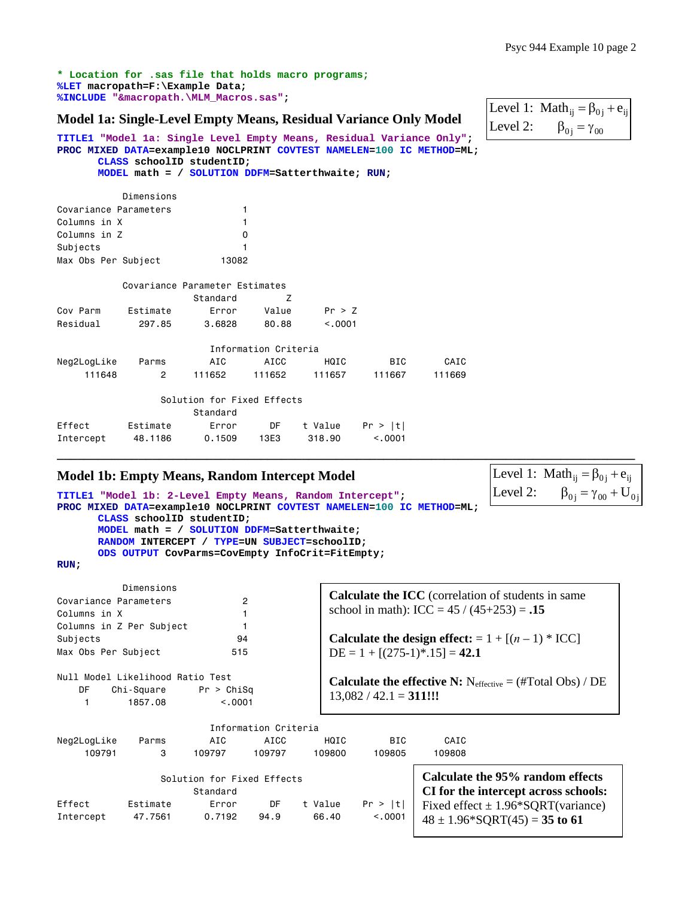**\* Location for .sas file that holds macro programs; %LET macropath=F:\Example Data; %INCLUDE "&macropath.\MLM\_Macros.sas";**

### **Model 1a: Single-Level Empty Means, Residual Variance Only Model**

```
Level 1: Math<sub>ij</sub> = \beta_{0j} + e_{ij}\beta_{0j} = \gamma_{00}Level 2:
```
Level 1: Math<sub>ij</sub> =  $\beta_{0j}$  +  $e_{ij}$ Level 2:  $\beta_{0j} = \gamma_{00} + U_{0j}$ 

**TITLE1 "Model 1a: Single Level Empty Means, Residual Variance Only"; PROC MIXED DATA=example10 NOCLPRINT COVTEST NAMELEN=100 IC METHOD=ML; CLASS schoolID studentID; MODEL math = / SOLUTION DDFM=Satterthwaite; RUN;** 

 Dimensions Covariance Parameters 1 Columns in X 1 Columns in Z 0 Subjects 1 Max Obs Per Subject 13082

|             |          | Covariance Parameter Estimates |                      |         |            |        |
|-------------|----------|--------------------------------|----------------------|---------|------------|--------|
|             |          | Standard                       |                      |         |            |        |
| Cov Parm    | Estimate | Error                          | Value                | Pr > Z  |            |        |
| Residual    | 297.85   | 3.6828                         | 80.88                | < 0.001 |            |        |
|             |          |                                |                      |         |            |        |
|             |          |                                | Information Criteria |         |            |        |
| Neg2LogLike | Parms    | AIC                            | AICC                 | HQIC    | <b>BIC</b> | CAIC   |
| 111648      | 2        | 111652                         | 111652               | 111657  | 111667     | 111669 |
|             |          |                                |                      |         |            |        |
|             |          |                                |                      |         |            |        |

|           |          | Solution for Fixed Effects |      |         |         |  |  |  |  |
|-----------|----------|----------------------------|------|---------|---------|--|--|--|--|
| Standard  |          |                            |      |         |         |  |  |  |  |
| Effect    | Estimate | Error                      | DF.  | t Value | Pr >  t |  |  |  |  |
| Intercept | 48.1186  | 0.1509                     | 13F3 | 318.90  | < 0.001 |  |  |  |  |

Intercept 47.7561 0.7192 94.9 66.40 <.0001

#### **Model 1b: Empty Means, Random Intercept Model**

```
TITLE1 "Model 1b: 2-Level Empty Means, Random Intercept"; 
PROC MIXED DATA=example10 NOCLPRINT COVTEST NAMELEN=100 IC METHOD=ML; 
      CLASS schoolID studentID; 
      MODEL math = / SOLUTION DDFM=Satterthwaite; 
      RANDOM INTERCEPT / TYPE=UN SUBJECT=schoolID; 
      ODS OUTPUT CovParms=CovEmpty InfoCrit=FitEmpty;
```
**RUN;** 

| Dimensions<br>$\overline{c}$<br>Covariance Parameters<br>Columns in X<br>Columns in Z Per Subject |                                                                          |                                        |                      |         | <b>Calculate the ICC</b> (correlation of students in same<br>school in math): ICC = $45 / (45+253) = .15$               |                                                                          |  |  |  |
|---------------------------------------------------------------------------------------------------|--------------------------------------------------------------------------|----------------------------------------|----------------------|---------|-------------------------------------------------------------------------------------------------------------------------|--------------------------------------------------------------------------|--|--|--|
| Subjects                                                                                          |                                                                          | 94                                     |                      |         |                                                                                                                         | Calculate the design effect: = $1 + [(n-1) * ICC]$                       |  |  |  |
| Max Obs Per Subject                                                                               |                                                                          | 515                                    |                      |         | $DE = 1 + [(275-1)^* \cdot 15] = 42.1$                                                                                  |                                                                          |  |  |  |
| DF                                                                                                | Null Model Likelihood Ratio Test<br>$Chi-Square$ Pr > $ChiSq$<br>1857.08 | < 0.001                                |                      |         | <b>Calculate the effective N:</b> $N_{\text{effective}} = (\text{\#Total Obs}) / \text{DE}$<br>$13,082 / 42.1 = 311!!!$ |                                                                          |  |  |  |
|                                                                                                   |                                                                          |                                        | Information Criteria |         |                                                                                                                         |                                                                          |  |  |  |
| Neg2LogLike                                                                                       | Parms                                                                    | AIC                                    | AICC                 | HQIC    | <b>BIC</b>                                                                                                              | CAIC                                                                     |  |  |  |
| 109791                                                                                            | 3                                                                        | 109797                                 | 109797               | 109800  | 109805                                                                                                                  | 109808                                                                   |  |  |  |
|                                                                                                   |                                                                          | Solution for Fixed Effects<br>Standard |                      |         |                                                                                                                         | Calculate the 95% random effects<br>CI for the intercept across schools: |  |  |  |
| Effect                                                                                            | Estimate                                                                 | Error                                  | DF                   | t Value | Pr >  t                                                                                                                 | Fixed effect $\pm$ 1.96*SQRT(variance)                                   |  |  |  |

**\_\_\_\_\_\_\_\_\_\_\_\_\_\_\_\_\_\_\_\_\_\_\_\_\_\_\_\_\_\_\_\_\_\_\_\_\_\_\_\_\_\_\_\_\_\_\_\_\_\_\_\_\_\_\_\_\_\_\_\_\_\_\_\_\_\_\_\_\_\_\_\_\_\_\_\_\_\_\_\_\_\_\_\_\_** 

| $\vert$ Fixed effect $\pm$ 1.96 $^{\circ}$ SQR I (variand |
|-----------------------------------------------------------|
| $148 \pm 1.96*$ SQRT(45) = 35 to 61                       |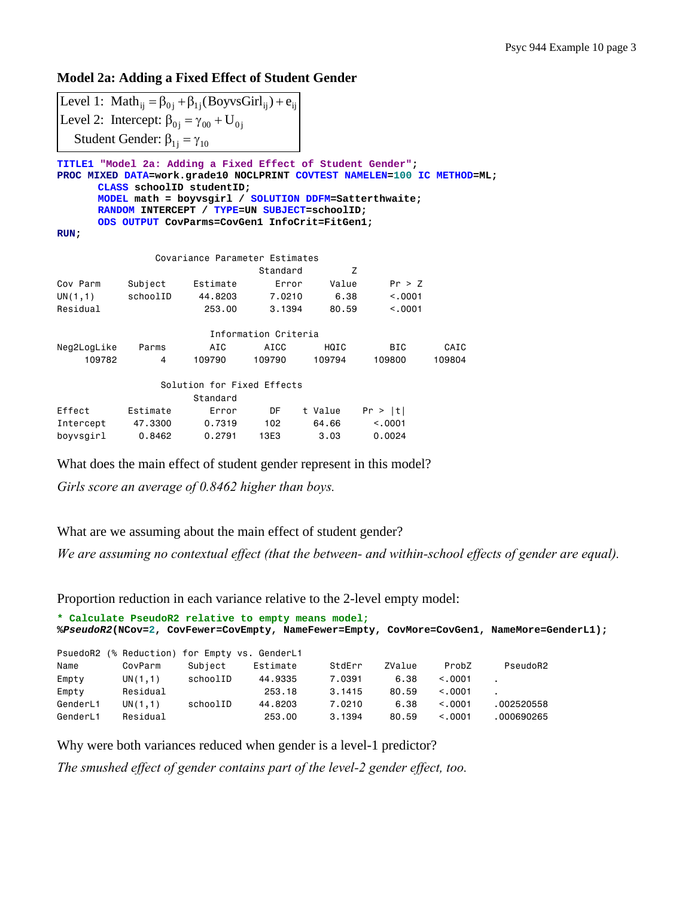## **Model 2a: Adding a Fixed Effect of Student Gender**

Level 1: Math<sub>ij</sub> =  $\beta_{0j}$  +  $\beta_{1j}$ (BoyvsGirl<sub>ij</sub>) +  $e_{ij}$ Level 2: Intercept:  $\beta_{0j} = \gamma_{00} + U_{0j}$ Student Gender:  $\beta_{1j} = \gamma_{10}$ 

**TITLE1 "Model 2a: Adding a Fixed Effect of Student Gender"; PROC MIXED DATA=work.grade10 NOCLPRINT COVTEST NAMELEN=100 IC METHOD=ML; CLASS schoolID studentID; MODEL math = boyvsgirl / SOLUTION DDFM=Satterthwaite; RANDOM INTERCEPT / TYPE=UN SUBJECT=schoolID; ODS OUTPUT CovParms=CovGen1 InfoCrit=FitGen1;** 

```
RUN;
```

| Covariance Parameter Estimates |          |                            |                      |         |            |        |  |  |  |  |
|--------------------------------|----------|----------------------------|----------------------|---------|------------|--------|--|--|--|--|
| Standard<br>z                  |          |                            |                      |         |            |        |  |  |  |  |
| Cov Parm                       | Subject  | Estimate                   | Error                | Value   | Pr > Z     |        |  |  |  |  |
| UN(1,1)                        | schoolID | 44,8203                    | 7.0210               | 6.38    | < 0.001    |        |  |  |  |  |
| Residual                       |          | 253,00                     | 3.1394               | 80.59   | < 0.001    |        |  |  |  |  |
|                                |          |                            |                      |         |            |        |  |  |  |  |
|                                |          |                            | Information Criteria |         |            |        |  |  |  |  |
| Neg2LogLike                    | Parms    | AIC                        | AICC                 | HQIC    | <b>BIC</b> | CAIC   |  |  |  |  |
| 109782                         | 4        | 109790                     | 109790               | 109794  | 109800     | 109804 |  |  |  |  |
|                                |          | Solution for Fixed Effects |                      |         |            |        |  |  |  |  |
|                                |          | Standard                   |                      |         |            |        |  |  |  |  |
| Effect                         | Estimate | Error                      | DF                   | t Value | Pr >  t    |        |  |  |  |  |
| Intercept                      | 47,3300  | 0.7319                     | 102                  | 64.66   | < 0.0001   |        |  |  |  |  |
| boyvsgirl                      | 0.8462   | 0.2791                     | 13E3                 | 3.03    | 0.0024     |        |  |  |  |  |

What does the main effect of student gender represent in this model?

*Girls score an average of 0.8462 higher than boys.* 

What are we assuming about the main effect of student gender?

*We are assuming no contextual effect (that the between- and within-school effects of gender are equal).* 

Proportion reduction in each variance relative to the 2-level empty model:

| * Calculate PseudoR2 relative to empty means model;<br>%PseudoR2(NCov=2, CovFewer=CovEmpty, NameFewer=Empty, CovMore=CovGen1, NameMore=GenderL1); |                                               |          |          |        |        |          |            |  |  |
|---------------------------------------------------------------------------------------------------------------------------------------------------|-----------------------------------------------|----------|----------|--------|--------|----------|------------|--|--|
|                                                                                                                                                   | PsuedoR2 (% Reduction) for Empty vs. GenderL1 |          |          |        |        |          |            |  |  |
| Name                                                                                                                                              | CovParm                                       | Subject  | Estimate | StdErr | ZValue | ProbZ    | PseudoR2   |  |  |
| Empty                                                                                                                                             | UN(1,1)                                       | schoolID | 44,9335  | 7.0391 | 6.38   | < 0.0001 |            |  |  |
| Empty                                                                                                                                             | Residual                                      |          | 253.18   | 3.1415 | 80.59  | < 0.001  |            |  |  |
| GenderL1                                                                                                                                          | UN(1,1)                                       | schoolID | 44.8203  | 7.0210 | 6.38   | < 0.001  | .002520558 |  |  |
| GenderL1                                                                                                                                          | Residual                                      |          | 253.00   | 3.1394 | 80.59  | < 0.001  | .000690265 |  |  |

Why were both variances reduced when gender is a level-1 predictor?

*The smushed effect of gender contains part of the level-2 gender effect, too.*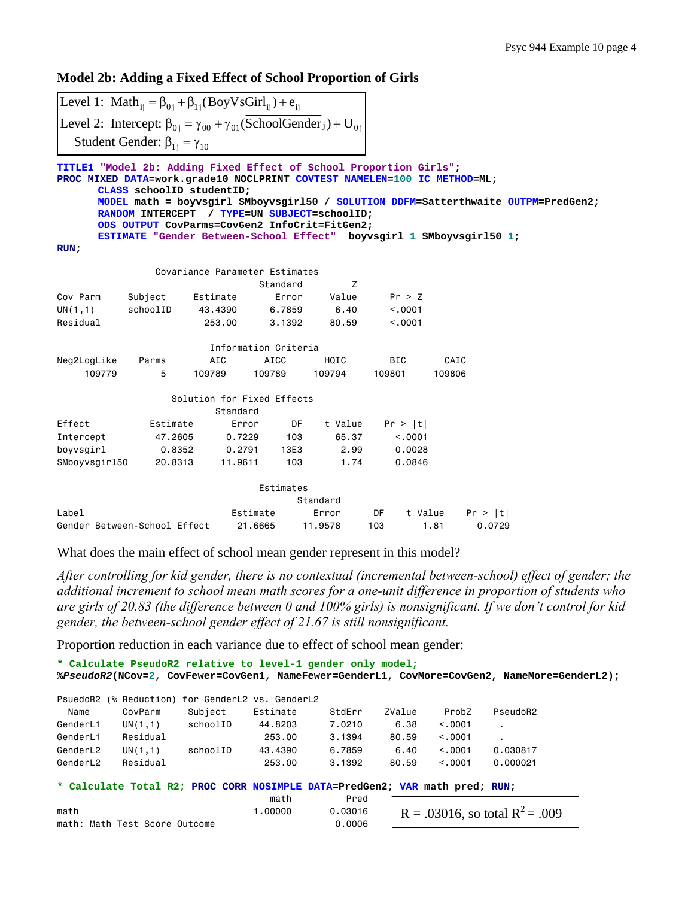**Model 2b: Adding a Fixed Effect of School Proportion of Girls** 

Level 1:  $\text{Math}_{ij} = \beta_{0j} + \beta_{1j} (\text{BoyVsGirl}_{ij}) + e_{ij}$ Level 2: Intercept:  $\beta_{0j} = \gamma_{00} + \gamma_{01}$ (SchoolGender  $_j$ ) + U<sub>0j</sub> Student Gender:  $\beta_{1j} = \gamma_{10}$ 

**TITLE1 "Model 2b: Adding Fixed Effect of School Proportion Girls"; PROC MIXED DATA=work.grade10 NOCLPRINT COVTEST NAMELEN=100 IC METHOD=ML; CLASS schoolID studentID; MODEL math = boyvsgirl SMboyvsgirl50 / SOLUTION DDFM=Satterthwaite OUTPM=PredGen2; RANDOM INTERCEPT / TYPE=UN SUBJECT=schoolID; ODS OUTPUT CovParms=CovGen2 InfoCrit=FitGen2; ESTIMATE "Gender Between-School Effect" boyvsgirl 1 SMboyvsgirl50 1;** 

 $\mathbb{R}$ 

**RUN;** 

|               |                              |          | Covariance Parameter Estimates |          |            |         |         |
|---------------|------------------------------|----------|--------------------------------|----------|------------|---------|---------|
|               |                              |          | Standard                       | Z        |            |         |         |
| Cov Parm      | Subject                      | Estimate | Error                          | Value    | Pr > Z     |         |         |
| UN(1,1)       | schoolID                     | 43.4390  | 6.7859                         | 6.40     | < .0001    |         |         |
| Residual      |                              | 253,00   | 3,1392                         | 80.59    | < 0.001    |         |         |
|               |                              |          | Information Criteria           |          |            |         |         |
| Neg2LogLike   | Parms                        | AIC      | AICC                           | HQIC     | <b>BIC</b> | CAIC    |         |
| 109779        | 5                            | 109789   | 109789                         | 109794   | 109801     | 109806  |         |
|               |                              |          | Solution for Fixed Effects     |          |            |         |         |
|               |                              | Standard |                                |          |            |         |         |
| Effect        | Estimate                     | Error    | DF                             | t Value  | Pr >  t    |         |         |
| Intercept     | 47.2605                      | 0.7229   | 103                            | 65.37    | < 0.001    |         |         |
| boyvsgirl     | 0.8352                       | 0.2791   | 13E3                           | 2.99     | 0.0028     |         |         |
| SMboyvsgirl50 | 20.8313                      | 11.9611  | 103                            | 1.74     | 0.0846     |         |         |
|               |                              |          | Estimates                      |          |            |         |         |
|               |                              |          |                                | Standard |            |         |         |
| Label         |                              |          | Estimate                       | Error    | DF         | t Value | Pr >  t |
|               | Gender Between-School Effect |          | 21,6665                        | 11,9578  | 103        | 1.81    | 0.0729  |

What does the main effect of school mean gender represent in this model?

*After controlling for kid gender, there is no contextual (incremental between-school) effect of gender; the additional increment to school mean math scores for a one-unit difference in proportion of students who are girls of 20.83 (the difference between 0 and 100% girls) is nonsignificant. If we don't control for kid gender, the between-school gender effect of 21.67 is still nonsignificant.* 

Proportion reduction in each variance due to effect of school mean gender:

```
* Calculate PseudoR2 relative to level-1 gender only model;
%PseudoR2(NCov=2, CovFewer=CovGen1, NameFewer=GenderL1, CovMore=CovGen2, NameMore=GenderL2); 
PsuedoR2 (% Reduction) for GenderL2 vs. GenderL2 
  Name CovParm Subject Estimate StdErr ZValue ProbZ PseudoR2 
GenderL1 UN(1,1) schoolID 44.8203 7.0210 6.38 <.0001 . 
GenderL1 Residual 253.00 3.1394 80.59 <.0001
GenderL2 UN(1,1) schoolID 43.4390 6.7859 6.40 <.0001 0.030817 
GenderL2 Residual 253.00 3.1392 80.59 <.0001 0.000021
* Calculate Total R2; PROC CORR NOSIMPLE DATA=PredGen2; VAR math pred; RUN; 
math Pred
math 1.00000 0.03016
math: Math Test Score Outcome 0.0006
                                            R = .03016, so total R^2 = .009
```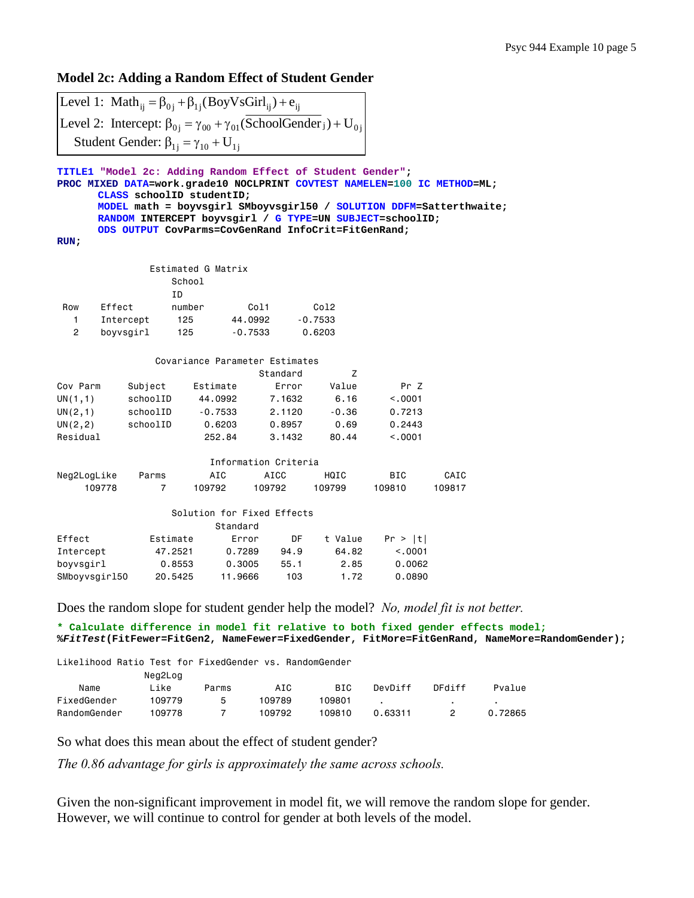# **Model 2c: Adding a Random Effect of Student Gender**

|                                                                   |                | Level 1: Math <sub>ij</sub> = $\beta_{0j}$ + $\beta_{1j}$ (BoyVsGirl <sub>ij</sub> ) + $e_{ij}$                                              |                      |           |            |                                                                                                                                                                           |
|-------------------------------------------------------------------|----------------|----------------------------------------------------------------------------------------------------------------------------------------------|----------------------|-----------|------------|---------------------------------------------------------------------------------------------------------------------------------------------------------------------------|
|                                                                   |                | Level 2: Intercept: $\beta_{0j} = \gamma_{00} + \gamma_{01}$ (SchoolGender <sub>j</sub> ) + U <sub>0j</sub>                                  |                      |           |            |                                                                                                                                                                           |
|                                                                   |                | Student Gender: $\beta_{1i} = \gamma_{10} + U_{1j}$                                                                                          |                      |           |            |                                                                                                                                                                           |
|                                                                   |                |                                                                                                                                              |                      |           |            |                                                                                                                                                                           |
| TITLE1 "Model 2c: Adding Random Effect of Student Gender";<br>RUN |                | CLASS schoolID studentID;<br>RANDOM INTERCEPT boyvsgirl / G TYPE=UN SUBJECT=schoolID;<br>ODS OUTPUT CovParms=CovGenRand InfoCrit=FitGenRand; |                      |           |            | PROC MIXED DATA=work.grade10 NOCLPRINT COVTEST NAMELEN=100 IC METHOD=ML;<br>MODEL math = boyvsgirl SMboyvsgirl50 / SOLUTION DDFM=Satterthwaite;                           |
|                                                                   |                | Estimated G Matrix                                                                                                                           |                      |           |            |                                                                                                                                                                           |
|                                                                   |                | School                                                                                                                                       |                      |           |            |                                                                                                                                                                           |
|                                                                   | ID             |                                                                                                                                              |                      |           |            |                                                                                                                                                                           |
| Row<br>Effect                                                     |                | number                                                                                                                                       | Col1                 | Col2      |            |                                                                                                                                                                           |
| 1.<br>$\mathbf{2}$                                                | Intercept      | 125                                                                                                                                          | 44.0992<br>$-0.7533$ | $-0.7533$ |            |                                                                                                                                                                           |
|                                                                   | boyvsgirl      | 125                                                                                                                                          |                      | 0.6203    |            |                                                                                                                                                                           |
|                                                                   |                | Covariance Parameter Estimates                                                                                                               |                      |           |            |                                                                                                                                                                           |
|                                                                   |                |                                                                                                                                              | Standard             | Z         |            |                                                                                                                                                                           |
| Cov Parm                                                          | Subject        | Estimate                                                                                                                                     | Error                | Value     | Pr Z       |                                                                                                                                                                           |
| UN(1,1)                                                           | schoolID       | 44.0992                                                                                                                                      | 7.1632               | 6.16      | < .0001    |                                                                                                                                                                           |
| UN(2, 1)                                                          | schoolID       | $-0.7533$                                                                                                                                    | 2.1120               | $-0.36$   | 0.7213     |                                                                                                                                                                           |
| UN(2, 2)                                                          | schoolID       | 0.6203                                                                                                                                       | 0.8957               | 0.69      | 0.2443     |                                                                                                                                                                           |
| Residual                                                          |                | 252.84                                                                                                                                       | 3.1432               | 80.44     | < 0.001    |                                                                                                                                                                           |
|                                                                   |                |                                                                                                                                              | Information Criteria |           |            |                                                                                                                                                                           |
| Neg2LogLike                                                       | Parms          | AIC                                                                                                                                          | AICC                 | HQIC      | <b>BIC</b> | CAIC                                                                                                                                                                      |
| 109778                                                            | $\overline{7}$ | 109792                                                                                                                                       | 109792               | 109799    | 109810     | 109817                                                                                                                                                                    |
|                                                                   |                | Solution for Fixed Effects<br>Standard                                                                                                       |                      |           |            |                                                                                                                                                                           |
| Effect                                                            | Estimate       |                                                                                                                                              | DF<br>Error          | t Value   | Pr >  t    |                                                                                                                                                                           |
| Intercept                                                         | 47.2521        | 0.7289                                                                                                                                       | 94.9                 | 64.82     | < .0001    |                                                                                                                                                                           |
| boyvsgirl                                                         | 0.8553         | 0.3005                                                                                                                                       | 55.1                 | 2.85      | 0.0062     |                                                                                                                                                                           |
| SMboyvsgir150                                                     | 20.5425        | 11.9666                                                                                                                                      | 103                  | 1.72      | 0.0890     |                                                                                                                                                                           |
|                                                                   |                |                                                                                                                                              |                      |           |            | Does the random slope for student gender help the model? No, model fit is not better.<br>* Calculate difference in model fit relative to both fixed gender effects model; |
|                                                                   |                |                                                                                                                                              |                      |           |            | $2F_1+T$ oct(FitFewer-FitCen) NameFewer-FiyedCender FitMore-FitCenDand NameMore-D                                                                                         |

**%***FitTest***(FitFewer=FitGen2, NameFewer=FixedGender, FitMore=FitGenRand, NameMore=RandomGender);** 

|              | Likelihood Ratio Test for FixedGender vs. RandomGender |       |        |        |         |        |         |
|--------------|--------------------------------------------------------|-------|--------|--------|---------|--------|---------|
|              | Neg2Log                                                |       |        |        |         |        |         |
| Name         | Like                                                   | Parms | AIC    | BIC.   | DevDiff | DFdiff | Pvalue  |
| FixedGender  | 109779                                                 | 5     | 109789 | 109801 |         |        |         |
| RandomGender | 109778                                                 |       | 109792 | 109810 | 0.63311 |        | 0.72865 |

So what does this mean about the effect of student gender?

*The 0.86 advantage for girls is approximately the same across schools.* 

Given the non-significant improvement in model fit, we will remove the random slope for gender. However, we will continue to control for gender at both levels of the model.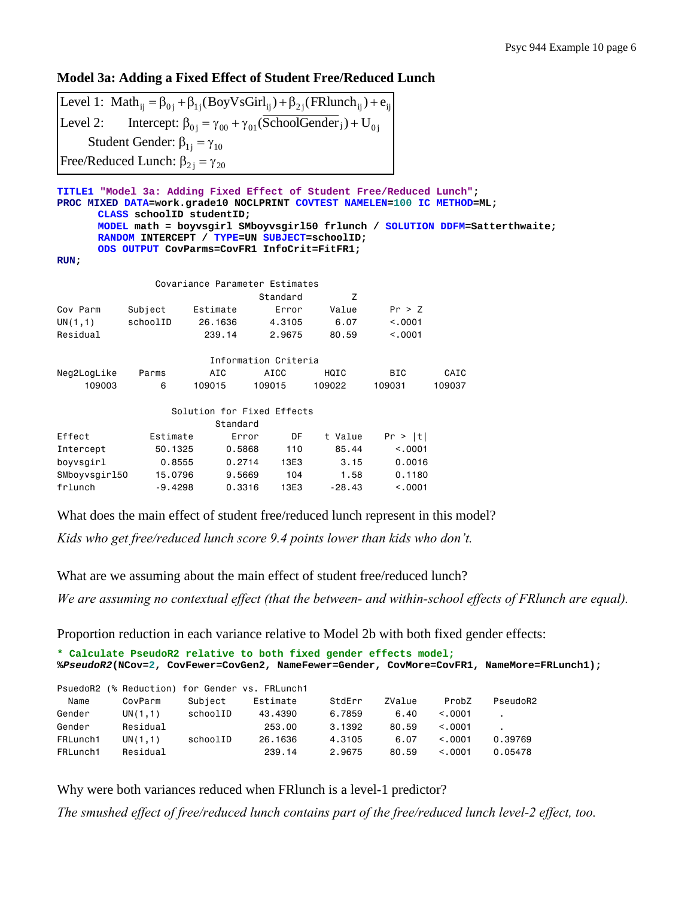## **Model 3a: Adding a Fixed Effect of Student Free/Reduced Lunch**

Level 1: Math<sub>ij</sub> =  $\beta_{0j}$  +  $\beta_{1j}$ (BoyVsGirl<sub>ij</sub>) +  $\beta_{2j}$ (FRlunch<sub>ij</sub>) +  $e_{ij}$ Level 2: Intercept:  $\beta_{0j} = \gamma_{00} + \gamma_{01}$ (SchoolGender ) + U<sub>0j</sub> Student Gender:  $\beta_{1j} = \gamma_{10}$ Free/Reduced Lunch:  $\beta_{2j} = \gamma_{20}$ 

| TITLE1 "Model 3a: Adding Fixed Effect of Student Free/Reduced Lunch";<br>PROC MIXED DATA=work.grade10 NOCLPRINT COVTEST NAMELEN=100 IC METHOD=ML;<br>CLASS schoolID studentID;<br>MODEL math = boyvsgirl SMboyvsgirl50 frlunch / SOLUTION DDFM=Satterthwaite;<br>RANDOM INTERCEPT / TYPE=UN SUBJECT=schoolID:<br>ODS OUTPUT CovParms=CovFR1 InfoCrit=FitFR1;<br>RUN: |           |                            |                      |          |          |        |  |  |  |
|----------------------------------------------------------------------------------------------------------------------------------------------------------------------------------------------------------------------------------------------------------------------------------------------------------------------------------------------------------------------|-----------|----------------------------|----------------------|----------|----------|--------|--|--|--|
| Covariance Parameter Estimates                                                                                                                                                                                                                                                                                                                                       |           |                            |                      |          |          |        |  |  |  |
|                                                                                                                                                                                                                                                                                                                                                                      |           |                            | Standard             | Z        |          |        |  |  |  |
| Cov Parm                                                                                                                                                                                                                                                                                                                                                             | Subject   | Estimate                   | Error                | Value    | Pr > Z   |        |  |  |  |
| UN(1,1)                                                                                                                                                                                                                                                                                                                                                              | schoolID  | 26,1636                    | 4.3105               | 6.07     | < 0.0001 |        |  |  |  |
| Residual                                                                                                                                                                                                                                                                                                                                                             |           | 239.14                     | 2.9675               | 80.59    | < 0.001  |        |  |  |  |
|                                                                                                                                                                                                                                                                                                                                                                      |           |                            | Information Criteria |          |          |        |  |  |  |
| Neg2LogLike                                                                                                                                                                                                                                                                                                                                                          | Parms     | AIC                        | AICC                 | HQIC     | BIC.     | CAIC   |  |  |  |
| 109003                                                                                                                                                                                                                                                                                                                                                               | 6         | 109015                     | 109015               | 109022   | 109031   | 109037 |  |  |  |
|                                                                                                                                                                                                                                                                                                                                                                      |           | Solution for Fixed Effects |                      |          |          |        |  |  |  |
|                                                                                                                                                                                                                                                                                                                                                                      |           | Standard                   |                      |          |          |        |  |  |  |
| Effect                                                                                                                                                                                                                                                                                                                                                               | Estimate  | Error                      | DF                   | t Value  | Pr >  t  |        |  |  |  |
| Intercept                                                                                                                                                                                                                                                                                                                                                            | 50.1325   | 0.5868                     | 110                  | 85.44    | < 0.0001 |        |  |  |  |
| boyvsgirl                                                                                                                                                                                                                                                                                                                                                            | 0.8555    | 0.2714                     | 13E3                 | 3.15     | 0.0016   |        |  |  |  |
| SMboyvsgir150                                                                                                                                                                                                                                                                                                                                                        | 15,0796   | 9,5669                     | 104                  | 1.58     | 0.1180   |        |  |  |  |
| frlunch                                                                                                                                                                                                                                                                                                                                                              | $-9.4298$ | 0.3316                     | 13E3                 | $-28.43$ | < 0.001  |        |  |  |  |

What does the main effect of student free/reduced lunch represent in this model?

*Kids who get free/reduced lunch score 9.4 points lower than kids who don't.* 

What are we assuming about the main effect of student free/reduced lunch?

*We are assuming no contextual effect (that the between- and within-school effects of FRlunch are equal).* 

Proportion reduction in each variance relative to Model 2b with both fixed gender effects:

```
* Calculate PseudoR2 relative to both fixed gender effects model;
%PseudoR2(NCov=2, CovFewer=CovGen2, NameFewer=Gender, CovMore=CovFR1, NameMore=FRLunch1);
```

|          | PsuedoR2 (% Reduction) for Gender vs. FRLunch1 |          |          |        |        |         |          |
|----------|------------------------------------------------|----------|----------|--------|--------|---------|----------|
| Name     | CovParm                                        | Subject  | Estimate | StdErr | ZValue | ProbZ   | PseudoR2 |
| Gender   | UN(1,1)                                        | schoolID | 43,4390  | 6,7859 | 6.40   | < 0.001 |          |
| Gender   | Residual                                       |          | 253.00   | 3.1392 | 80.59  | < 0.001 |          |
| FRLunch1 | UN(1,1)                                        | schoolID | 26,1636  | 4.3105 | 6.07   | < 0.001 | 0.39769  |
| FRLunch1 | Residual                                       |          | 239.14   | 2.9675 | 80.59  | < 0.001 | 0.05478  |

Why were both variances reduced when FRlunch is a level-1 predictor?

*The smushed effect of free/reduced lunch contains part of the free/reduced lunch level-2 effect, too.*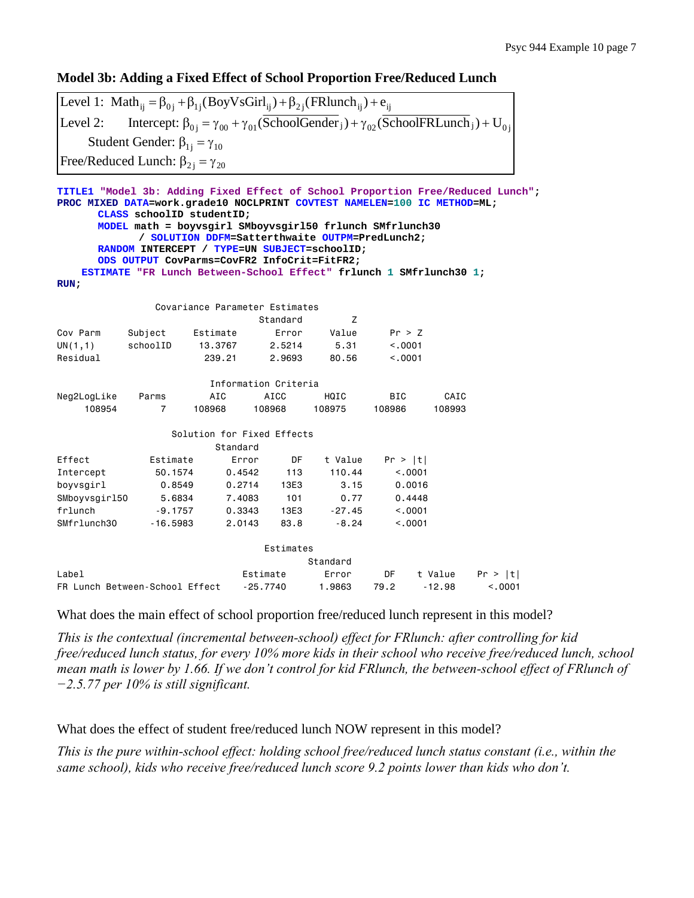# **Model 3b: Adding a Fixed Effect of School Proportion Free/Reduced Lunch**

| Level 1: Math <sub>ii</sub> = $\beta_{0i}$ + $\beta_{1i}$ (BoyVsGirl <sub>ii</sub> ) + $\beta_{2i}$ (FRlunch <sub>ii</sub> ) + $e_{ii}$                    |
|------------------------------------------------------------------------------------------------------------------------------------------------------------|
| [Level 2: Intercept: $\beta_{0i} = \gamma_{00} + \gamma_{01}$ (SchoolGender <sub>j</sub> ) + $\gamma_{02}$ (SchoolFRLunch <sub>j</sub> ) + U <sub>0i</sub> |
| Student Gender: $\beta_{1i} = \gamma_{10}$                                                                                                                 |
| Free/Reduced Lunch: $\beta_{2i} = \gamma_{20}$                                                                                                             |

| TITLE1 "Model 3b: Adding Fixed Effect of School Proportion Free/Reduced Lunch";       |                                                                                       |                            |          |                      |                                                 |            |          |         |
|---------------------------------------------------------------------------------------|---------------------------------------------------------------------------------------|----------------------------|----------|----------------------|-------------------------------------------------|------------|----------|---------|
| PROC MIXED DATA=work.grade10 NOCLPRINT COVTEST NAMELEN=100 IC METHOD=ML;              |                                                                                       |                            |          |                      |                                                 |            |          |         |
|                                                                                       | CLASS schoolID studentID;<br>MODEL math = boyvsgirl SMboyvsgirl50 frlunch SMfrlunch30 |                            |          |                      |                                                 |            |          |         |
|                                                                                       |                                                                                       |                            |          |                      | / SOLUTION DDFM=Satterthwaite OUTPM=PredLunch2; |            |          |         |
|                                                                                       | RANDOM INTERCEPT / TYPE=UN SUBJECT=schoolID;                                          |                            |          |                      |                                                 |            |          |         |
|                                                                                       | ODS OUTPUT CovParms=CovFR2 InfoCrit=FitFR2;                                           |                            |          |                      |                                                 |            |          |         |
|                                                                                       | ESTIMATE "FR Lunch Between-School Effect" frlunch 1 SMfrlunch30 1;                    |                            |          |                      |                                                 |            |          |         |
| RUN                                                                                   |                                                                                       |                            |          |                      |                                                 |            |          |         |
| Covariance Parameter Estimates                                                        |                                                                                       |                            |          |                      |                                                 |            |          |         |
|                                                                                       |                                                                                       |                            |          | Standard             | Z                                               |            |          |         |
| Cov Parm                                                                              | Subject                                                                               | Estimate                   |          | Error                | Value                                           | Pr > Z     |          |         |
| UN(1,1)                                                                               | schoolID                                                                              | 13,3767                    |          | 2.5214               | 5.31                                            | < 0.001    |          |         |
| Residual                                                                              |                                                                                       | 239.21                     |          | 2,9693               | 80.56                                           | < 0.001    |          |         |
|                                                                                       |                                                                                       |                            |          |                      |                                                 |            |          |         |
|                                                                                       |                                                                                       |                            |          | Information Criteria |                                                 |            |          |         |
| Neg2LogLike                                                                           | Parms                                                                                 | AIC                        |          | AICC                 | HQIC                                            | <b>BIC</b> | CAIC     |         |
| 108954                                                                                | $\overline{7}$                                                                        | 108968                     | 108968   |                      | 108975                                          | 108986     | 108993   |         |
|                                                                                       |                                                                                       | Solution for Fixed Effects |          |                      |                                                 |            |          |         |
|                                                                                       |                                                                                       | Standard                   |          |                      |                                                 |            |          |         |
| Effect                                                                                | Estimate                                                                              |                            | Error    | DF                   | t Value                                         | Pr >  t    |          |         |
| Intercept                                                                             | 50.1574                                                                               |                            | 0.4542   | 113                  | 110.44                                          |            | < 0.001  |         |
| boyvsgirl                                                                             | 0.8549                                                                                |                            | 0.2714   | 13E3                 | 3.15                                            |            | 0.0016   |         |
| SMboyvsgir150                                                                         | 5.6834                                                                                |                            | 7,4083   | 101                  | 0.77                                            |            | 0.4448   |         |
| frlunch                                                                               | $-9.1757$                                                                             |                            | 0.3343   | 13E3                 | $-27.45$                                        |            | < 0.001  |         |
| SMfrlunch30                                                                           | $-16.5983$                                                                            |                            | 2.0143   | 83.8                 | $-8.24$                                         |            | < 0.0001 |         |
|                                                                                       |                                                                                       |                            |          |                      |                                                 |            |          |         |
|                                                                                       |                                                                                       |                            |          | Estimates            |                                                 |            |          |         |
|                                                                                       |                                                                                       |                            |          |                      | Standard                                        |            |          |         |
| Label                                                                                 |                                                                                       |                            | Estimate |                      | Error                                           | DF         | t Value  | Pr >  t |
| 79.2<br>FR Lunch Between-School Effect<br>$-25.7740$<br>1.9863<br>$-12.98$<br>< 0.001 |                                                                                       |                            |          |                      |                                                 |            |          |         |

What does the main effect of school proportion free/reduced lunch represent in this model?

*This is the contextual (incremental between-school) effect for FRlunch: after controlling for kid free/reduced lunch status, for every 10% more kids in their school who receive free/reduced lunch, school mean math is lower by 1.66. If we don't control for kid FRlunch, the between-school effect of FRlunch of −2.5.77 per 10% is still significant.* 

What does the effect of student free/reduced lunch NOW represent in this model?

*This is the pure within-school effect: holding school free/reduced lunch status constant (i.e., within the same school), kids who receive free/reduced lunch score 9.2 points lower than kids who don't.*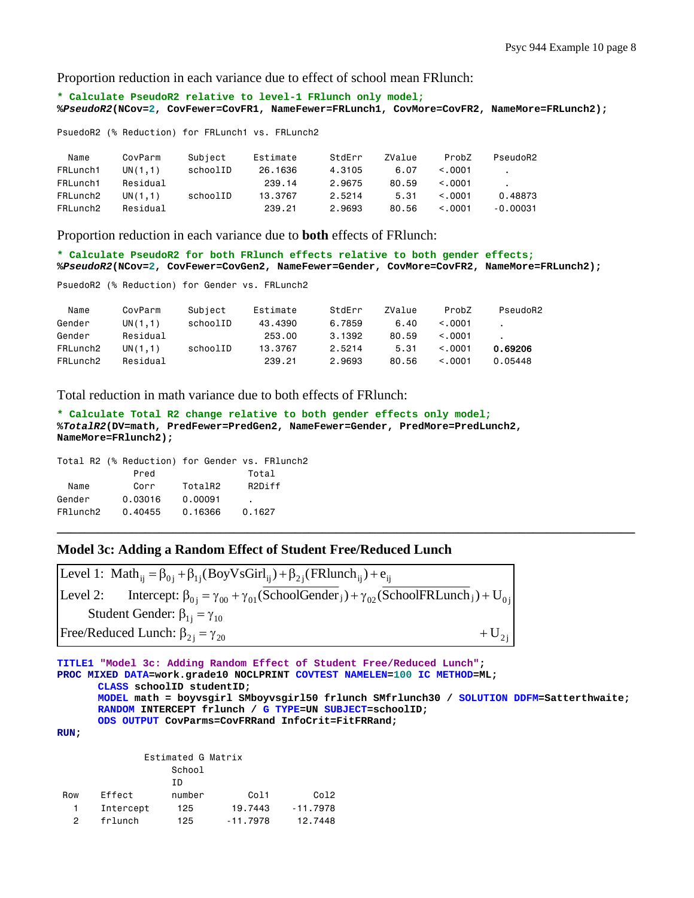Proportion reduction in each variance due to effect of school mean FRlunch:

**\* Calculate PseudoR2 relative to level-1 FRlunch only model; %***PseudoR2***(NCov=2, CovFewer=CovFR1, NameFewer=FRLunch1, CovMore=CovFR2, NameMore=FRLunch2);** 

PsuedoR2 (% Reduction) for FRLunch1 vs. FRLunch2

| Name     | CovParm  | Subject  | Estimate | StdErr | ZValue | ProbZ    | PseudoR2       |
|----------|----------|----------|----------|--------|--------|----------|----------------|
| FRLunch1 | UN(1.1)  | schoolID | 26.1636  | 4.3105 | 6.07   | < 0.001  | $\blacksquare$ |
| FRLunch1 | Residual |          | 239.14   | 2.9675 | 80.59  | < 0.0001 |                |
| FRLunch2 | UN(1.1)  | schoolID | 13,3767  | 2.5214 | 5.31   | < 0.0001 | 0.48873        |
| FRLunch2 | Residual |          | 239.21   | 2.9693 | 80.56  | < 0.001  | -0.00031       |

Proportion reduction in each variance due to **both** effects of FRlunch:

**\* Calculate PseudoR2 for both FRlunch effects relative to both gender effects; %***PseudoR2***(NCov=2, CovFewer=CovGen2, NameFewer=Gender, CovMore=CovFR2, NameMore=FRLunch2);** 

PsuedoR2 (% Reduction) for Gender vs. FRLunch2

| Name     | CovParm  | Subject  | Estimate | StdErr | ZValue | ProbZ        | PseudoR2 |
|----------|----------|----------|----------|--------|--------|--------------|----------|
| Gender   | UN(1,1)  | schoolID | 43.4390  | 6.7859 | 6.40   | < 0.001      |          |
| Gender   | Residual |          | 253,00   | 3.1392 | 80.59  | < 0.001      |          |
| FRLunch2 | UN(1.1)  | schoolID | 13.3767  | 2.5214 | 5.31   | < .0001      | 0.69206  |
| FRLunch2 | Residual |          | 239.21   | 2.9693 | 80.56  | $\leq$ .0001 | 0.05448  |

Total reduction in math variance due to both effects of FRlunch:

```
* Calculate Total R2 change relative to both gender effects only model;
%TotalR2(DV=math, PredFewer=PredGen2, NameFewer=Gender, PredMore=PredLunch2, 
NameMore=FRlunch2);
```
Total R2 (% Reduction) for Gender vs. FRlunch2 Pred Total Name Corr TotalR2 R2Diff Gender 0.03016 0.00091 FRlunch2 0.40455 0.16366 0.1627

#### **Model 3c: Adding a Random Effect of Student Free/Reduced Lunch**

Level 1: Math<sub>ij</sub> =  $\beta_{0j}$  +  $\beta_{1j}$ (BoyVsGirl<sub>ij</sub>) +  $\beta_{2j}$ (FRlunch<sub>ij</sub>) +  $e_{ij}$ Level 2: Intercept:  $\beta_{0j} = \gamma_{00} + \gamma_{01}$ (SchoolGender ) +  $\gamma_{02}$ (SchoolFRLunch ) + U<sub>0j</sub> Student Gender:  $\beta_{1j} = \gamma_{10}$ Free/Reduced Lunch:  $\beta_{2j} = \gamma_{20}$  + U<sub>2j</sub>

```
TITLE1 "Model 3c: Adding Random Effect of Student Free/Reduced Lunch"; 
PROC MIXED DATA=work.grade10 NOCLPRINT COVTEST NAMELEN=100 IC METHOD=ML; 
       CLASS schoolID studentID; 
       MODEL math = boyvsgirl SMboyvsgirl50 frlunch SMfrlunch30 / SOLUTION DDFM=Satterthwaite; 
       RANDOM INTERCEPT frlunch / G TYPE=UN SUBJECT=schoolID; 
       ODS OUTPUT CovParms=CovFRRand InfoCrit=FitFRRand; 
RUN; 
               Estimated G Matrix
```
**\_\_\_\_\_\_\_\_\_\_\_\_\_\_\_\_\_\_\_\_\_\_\_\_\_\_\_\_\_\_\_\_\_\_\_\_\_\_\_\_\_\_\_\_\_\_\_\_\_\_\_\_\_\_\_\_\_\_\_\_\_\_\_\_\_\_\_\_\_\_\_\_\_\_\_\_\_\_\_\_\_\_\_\_\_** 

```
 School 
 ID 
Row Effect number Col1 Col2
  1 Intercept 125 19.7443 -11.7978 
  2 frlunch 125 -11.7978 12.7448
```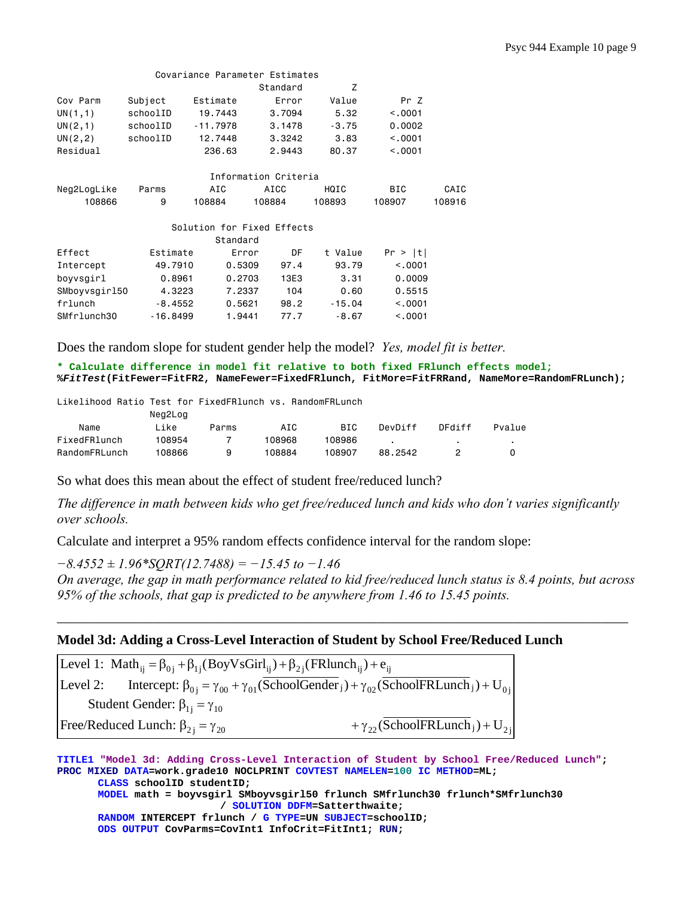|               |            |            | Covariance Parameter Estimates |          |          |        |
|---------------|------------|------------|--------------------------------|----------|----------|--------|
|               |            |            | Standard                       | Z        |          |        |
| Cov Parm      | Subject    | Estimate   | Error                          | Value    | Pr Z     |        |
| UN(1,1)       | schoolID   | 19,7443    | 3,7094                         | 5.32     | < 0.001  |        |
| UN(2,1)       | schoolID   | $-11.7978$ | 3.1478                         | $-3.75$  | 0.0002   |        |
| UN(2, 2)      | schoolID   | 12,7448    | 3,3242                         | 3.83     | < 0.001  |        |
| Residual      |            | 236,63     | 2.9443                         | 80.37    | < 0.001  |        |
|               |            |            |                                |          |          |        |
|               |            |            | Information Criteria           |          |          |        |
| Neg2LogLike   | Parms      | AIC        | AICC                           | HQIC     | BIC.     | CAIC   |
| 108866        | 9          | 108884     | 108884                         | 108893   | 108907   | 108916 |
|               |            |            |                                |          |          |        |
|               |            |            | Solution for Fixed Effects     |          |          |        |
|               |            | Standard   |                                |          |          |        |
| Effect        | Estimate   |            | DF<br>Error                    | t Value  | Pr >  t  |        |
| Intercept     | 49,7910    | 0.5309     | 97.4                           | 93.79    | < 0.0001 |        |
| boyvsgirl     | 0.8961     | 0.2703     | 13E3                           | 3.31     | 0.0009   |        |
| SMboyvsgir150 | 4.3223     | 7.2337     | 104                            | 0.60     | 0.5515   |        |
| frlunch       | $-8.4552$  | 0.5621     | 98.2                           | $-15.04$ | < .0001  |        |
| SMfrlunch30   | $-16.8499$ | 1.9441     | 77.7                           | $-8.67$  | < 0.0001 |        |

Does the random slope for student gender help the model? *Yes, model fit is better.* 

**\* Calculate difference in model fit relative to both fixed FRlunch effects model; %***FitTest***(FitFewer=FitFR2, NameFewer=FixedFRlunch, FitMore=FitFRRand, NameMore=RandomFRLunch);** 

Likelihood Ratio Test for FixedFRlunch vs. RandomFRLunch

|               | Neg2Log |       |        |            |         |        |        |
|---------------|---------|-------|--------|------------|---------|--------|--------|
| Name          | ∟ike    | Parms | AIC    | <b>BIC</b> | DevDiff | DFdiff | Pvalue |
| FixedFRlunch  | 108954  |       | 108968 | 108986     |         |        |        |
| RandomFRLunch | 108866  | a     | 108884 | 108907     | 88.2542 |        |        |

So what does this mean about the effect of student free/reduced lunch?

*The difference in math between kids who get free/reduced lunch and kids who don't varies significantly over schools.* 

Calculate and interpret a 95% random effects confidence interval for the random slope:

*−8.4552 ± 1.96\*SQRT(12.7488) = −15.45 to −1.46* 

*On average, the gap in math performance related to kid free/reduced lunch status is 8.4 points, but across 95% of the schools, that gap is predicted to be anywhere from 1.46 to 15.45 points.* 

\_\_\_\_\_\_\_\_\_\_\_\_\_\_\_\_\_\_\_\_\_\_\_\_\_\_\_\_\_\_\_\_\_\_\_\_\_\_\_\_\_\_\_\_\_\_\_\_\_\_\_\_\_\_\_\_\_\_\_\_\_\_\_\_\_\_\_\_\_\_\_\_\_\_\_\_\_\_\_\_\_\_\_\_

#### **Model 3d: Adding a Cross-Level Interaction of Student by School Free/Reduced Lunch**

| Level 1: Math <sub>ii</sub> = $\beta_{0i}$ + $\beta_{1i}$ (BoyVsGirl <sub>ii</sub> ) + $\beta_{2i}$ (FRlunch <sub>ii</sub> ) + $e_{ii}$ |                                                                                                                                                           |
|-----------------------------------------------------------------------------------------------------------------------------------------|-----------------------------------------------------------------------------------------------------------------------------------------------------------|
|                                                                                                                                         | Level 2: Intercept: $\beta_{0i} = \gamma_{00} + \gamma_{01}$ (SchoolGender <sub>j</sub> ) + $\gamma_{02}$ (SchoolFRLunch <sub>j</sub> ) + U <sub>0i</sub> |
| Student Gender: $\beta_{1i} = \gamma_{10}$                                                                                              |                                                                                                                                                           |
| Free/Reduced Lunch: $\beta_{2i} = \gamma_{20}$                                                                                          | + $\gamma_{22}$ (SchoolFRLunch <sub>j</sub> ) + U <sub>2i</sub>                                                                                           |

**TITLE1 "Model 3d: Adding Cross-Level Interaction of Student by School Free/Reduced Lunch"; PROC MIXED DATA=work.grade10 NOCLPRINT COVTEST NAMELEN=100 IC METHOD=ML; CLASS schoolID studentID; MODEL math = boyvsgirl SMboyvsgirl50 frlunch SMfrlunch30 frlunch\*SMfrlunch30 / SOLUTION DDFM=Satterthwaite; RANDOM INTERCEPT frlunch / G TYPE=UN SUBJECT=schoolID; ODS OUTPUT CovParms=CovInt1 InfoCrit=FitInt1; RUN;**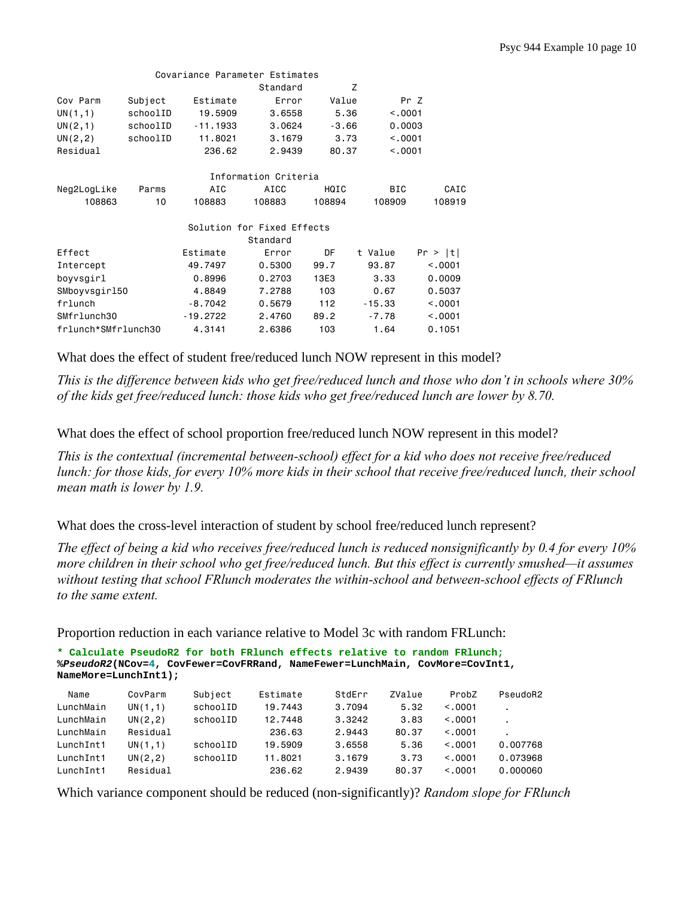|                     |          | Covariance Parameter Estimates |                            |         |            |         |
|---------------------|----------|--------------------------------|----------------------------|---------|------------|---------|
|                     |          |                                | Standard                   |         | Z          |         |
| Cov Parm            | Subject  | Estimate                       | Error                      | Value   | Pr Z       |         |
| UN(1,1)             | schoolID | 19,5909                        | 3.6558                     | 5.36    | < 0.001    |         |
| UN(2,1)             | schoolID | $-11.1933$                     | 3,0624                     | $-3.66$ | 0.0003     |         |
| UN(2, 2)            | schoolID | 11.8021                        | 3.1679                     | 3.73    | < .0001    |         |
| Residual            |          | 236.62                         | 2.9439                     | 80.37   | < 0.001    |         |
|                     |          |                                | Information Criteria       |         |            |         |
| Neg2LogLike         | Parms    | AIC                            | AICC                       | HQIC    | <b>BIC</b> | CAIC    |
| 108863              | 10       | 108883                         | 108883                     | 108894  | 108909     | 108919  |
|                     |          |                                | Solution for Fixed Effects |         |            |         |
|                     |          |                                | Standard                   |         |            |         |
| Effect              |          | Estimate                       | Error                      | DF      | t Value    | Pr >  t |
| Intercept           |          | 49.7497                        | 0.5300                     | 99.7    | 93.87      | < 0.001 |
| boyvsgirl           |          | 0.8996                         | 0.2703                     | 13E3    | 3.33       | 0.0009  |
| SMboyvsgir150       |          | 4.8849                         | 7.2788                     | 103     | 0.67       | 0.5037  |
| frlunch             |          | $-8.7042$                      | 0.5679                     | 112     | $-15.33$   | < 0.001 |
| SMfrlunch30         |          | $-19.2722$                     | 2.4760                     | 89.2    | $-7.78$    | < 0.001 |
| frlunch*SMfrlunch30 |          | 4.3141                         | 2.6386                     | 103     | 1.64       | 0.1051  |

What does the effect of student free/reduced lunch NOW represent in this model?

*This is the difference between kids who get free/reduced lunch and those who don't in schools where 30% of the kids get free/reduced lunch: those kids who get free/reduced lunch are lower by 8.70.* 

What does the effect of school proportion free/reduced lunch NOW represent in this model?

*This is the contextual (incremental between-school) effect for a kid who does not receive free/reduced lunch: for those kids, for every 10% more kids in their school that receive free/reduced lunch, their school mean math is lower by 1.9.* 

What does the cross-level interaction of student by school free/reduced lunch represent?

*The effect of being a kid who receives free/reduced lunch is reduced nonsignificantly by 0.4 for every 10% more children in their school who get free/reduced lunch. But this effect is currently smushed—it assumes without testing that school FRlunch moderates the within-school and between-school effects of FRlunch to the same extent.* 

Proportion reduction in each variance relative to Model 3c with random FRLunch:

```
* Calculate PseudoR2 for both FRlunch effects relative to random FRlunch;
%PseudoR2(NCov=4, CovFewer=CovFRRand, NameFewer=LunchMain, CovMore=CovInt1, 
NameMore=LunchInt1);
```

| Name      | CovParm  | Subject  | Estimate | StdErr | ZValue | ProbZ   | PseudoR2 |
|-----------|----------|----------|----------|--------|--------|---------|----------|
| LunchMain | UN(1,1)  | schoolID | 19.7443  | 3.7094 | 5.32   | < 0.001 |          |
| LunchMain | UN(2, 2) | schoolID | 12.7448  | 3.3242 | 3.83   | < 0.001 |          |
| LunchMain | Residual |          | 236.63   | 2.9443 | 80.37  | < 0.001 |          |
| LunchInt1 | UN(1,1)  | schoolID | 19.5909  | 3.6558 | 5.36   | < 0.001 | 0.007768 |
| LunchInt1 | UN(2, 2) | schoolID | 11.8021  | 3.1679 | 3.73   | < 0.001 | 0.073968 |
| LunchInt1 | Residual |          | 236.62   | 2.9439 | 80.37  | < 0.001 | 0.000060 |

Which variance component should be reduced (non-significantly)? *Random slope for FRlunch*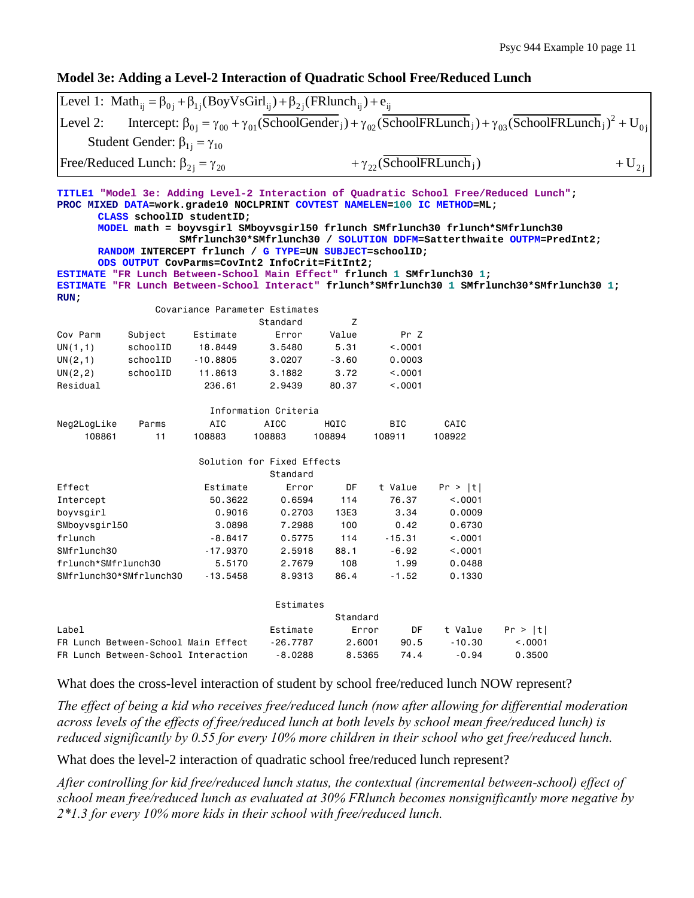## **Model 3e: Adding a Level-2 Interaction of Quadratic School Free/Reduced Lunch**

|                                                                                 | Level 1: Math <sub>ii</sub> = $\beta_{0i} + \beta_{1i}$ (BoyVsGirl <sub>ii</sub> ) + $\beta_{2i}$ (FRlunch <sub>ii</sub> ) + $e_{ii}$                                                                            |                                |                            |          |                                               |          |                                                                                                                                                                                                                                                                                                                                                |           |
|---------------------------------------------------------------------------------|------------------------------------------------------------------------------------------------------------------------------------------------------------------------------------------------------------------|--------------------------------|----------------------------|----------|-----------------------------------------------|----------|------------------------------------------------------------------------------------------------------------------------------------------------------------------------------------------------------------------------------------------------------------------------------------------------------------------------------------------------|-----------|
| Level 2:                                                                        |                                                                                                                                                                                                                  |                                |                            |          |                                               |          | Intercept: $\beta_{0i} = \gamma_{00} + \gamma_{01}(\overline{SchoolGender}_j) + \gamma_{02}(\overline{SchoolFRLunch}_j) + \gamma_{03}(\overline{SchoolFRLunch}_j)^2 + U_{0i}$                                                                                                                                                                  |           |
|                                                                                 | Student Gender: $\beta_{1i} = \gamma_{10}$                                                                                                                                                                       |                                |                            |          |                                               |          |                                                                                                                                                                                                                                                                                                                                                |           |
|                                                                                 | Free/Reduced Lunch: $\beta_{2i} = \gamma_{20}$                                                                                                                                                                   |                                |                            |          | + $\gamma_{22}$ (SchoolFRLunch <sub>i</sub> ) |          |                                                                                                                                                                                                                                                                                                                                                | $+U_{2i}$ |
| ESTIMATE "FR Lunch Between-School Main Effect" frlunch 1 SMfrlunch30 1;<br>RUN: | PROC MIXED DATA=work.grade10 NOCLPRINT COVTEST NAMELEN=100 IC METHOD=ML;<br>CLASS schoolID studentID;<br>RANDOM INTERCEPT frlunch / G TYPE=UN SUBJECT=schoolID;<br>ODS OUTPUT CovParms=CovInt2 InfoCrit=FitInt2; |                                |                            |          |                                               |          | TITLE1 "Model 3e: Adding Level-2 Interaction of Quadratic School Free/Reduced Lunch";<br>MODEL math = boyvsgirl SMboyvsgirl50 frlunch SMfrlunch30 frlunch*SMfrlunch30<br>SMfrlunch30*SMfrlunch30 / SOLUTION DDFM=Satterthwaite OUTPM=PredInt2;<br>ESTIMATE "FR Lunch Between-School Interact" frlunch*SMfrlunch30 1 SMfrlunch30*SMfrlunch30 1; |           |
|                                                                                 |                                                                                                                                                                                                                  | Covariance Parameter Estimates |                            |          |                                               |          |                                                                                                                                                                                                                                                                                                                                                |           |
|                                                                                 |                                                                                                                                                                                                                  |                                | Standard                   | Z        |                                               |          |                                                                                                                                                                                                                                                                                                                                                |           |
| Cov Parm                                                                        | Subject                                                                                                                                                                                                          | Estimate                       | Error                      | Value    | Pr Z                                          |          |                                                                                                                                                                                                                                                                                                                                                |           |
| UN(1,1)                                                                         | schoolID                                                                                                                                                                                                         | 18.8449                        | 3.5480                     | 5.31     | < .0001                                       |          |                                                                                                                                                                                                                                                                                                                                                |           |
| UN(2,1)                                                                         | schoolID                                                                                                                                                                                                         | $-10.8805$                     | 3.0207                     | $-3.60$  | 0.0003                                        |          |                                                                                                                                                                                                                                                                                                                                                |           |
| UN(2, 2)                                                                        | schoolID                                                                                                                                                                                                         | 11.8613                        | 3.1882                     | 3.72     | < .0001                                       |          |                                                                                                                                                                                                                                                                                                                                                |           |
| Residual                                                                        |                                                                                                                                                                                                                  | 236.61                         | 2.9439                     | 80.37    | < .0001                                       |          |                                                                                                                                                                                                                                                                                                                                                |           |
|                                                                                 |                                                                                                                                                                                                                  |                                | Information Criteria       |          |                                               |          |                                                                                                                                                                                                                                                                                                                                                |           |
| Neg2LogLike                                                                     | Parms                                                                                                                                                                                                            | AIC                            | <b>AICC</b>                | HQIC     | BIC                                           | CAIC     |                                                                                                                                                                                                                                                                                                                                                |           |
| 108861                                                                          | 11                                                                                                                                                                                                               | 108883                         | 108883                     | 108894   | 108911                                        | 108922   |                                                                                                                                                                                                                                                                                                                                                |           |
|                                                                                 |                                                                                                                                                                                                                  |                                | Solution for Fixed Effects |          |                                               |          |                                                                                                                                                                                                                                                                                                                                                |           |
|                                                                                 |                                                                                                                                                                                                                  |                                | Standard                   |          |                                               |          |                                                                                                                                                                                                                                                                                                                                                |           |
| Effect                                                                          |                                                                                                                                                                                                                  | Estimate                       | Error                      | DF       | t Value                                       | Pr >  t  |                                                                                                                                                                                                                                                                                                                                                |           |
| Intercept                                                                       |                                                                                                                                                                                                                  | 50.3622                        | 0.6594                     | 114      | 76.37                                         | < .0001  |                                                                                                                                                                                                                                                                                                                                                |           |
| boyvsgirl                                                                       |                                                                                                                                                                                                                  | 0.9016                         | 0.2703                     | 13E3     | 3.34                                          | 0.0009   |                                                                                                                                                                                                                                                                                                                                                |           |
| SMboyvsgir150                                                                   |                                                                                                                                                                                                                  | 3.0898                         | 7.2988                     | 100      | 0.42                                          | 0.6730   |                                                                                                                                                                                                                                                                                                                                                |           |
| frlunch                                                                         |                                                                                                                                                                                                                  | $-8.8417$                      | 0.5775                     | 114      | $-15.31$                                      | < .0001  |                                                                                                                                                                                                                                                                                                                                                |           |
| SMfrlunch30                                                                     |                                                                                                                                                                                                                  | $-17.9370$                     | 2.5918                     | 88.1     | $-6.92$                                       | < .0001  |                                                                                                                                                                                                                                                                                                                                                |           |
| frlunch*SMfrlunch30                                                             |                                                                                                                                                                                                                  | 5.5170                         | 2.7679                     | 108      | 1.99                                          | 0.0488   |                                                                                                                                                                                                                                                                                                                                                |           |
| SMfrlunch30*SMfrlunch30                                                         |                                                                                                                                                                                                                  | $-13.5458$                     | 8.9313                     | 86.4     | $-1.52$                                       | 0.1330   |                                                                                                                                                                                                                                                                                                                                                |           |
|                                                                                 |                                                                                                                                                                                                                  |                                | Estimates                  |          |                                               |          |                                                                                                                                                                                                                                                                                                                                                |           |
|                                                                                 |                                                                                                                                                                                                                  |                                |                            | Standard |                                               |          |                                                                                                                                                                                                                                                                                                                                                |           |
| Label                                                                           |                                                                                                                                                                                                                  |                                | Estimate                   | Error    | DF                                            | t Value  | Pr >  t                                                                                                                                                                                                                                                                                                                                        |           |
|                                                                                 | FR Lunch Between-School Main Effect                                                                                                                                                                              |                                | $-26.7787$                 | 2.6001   | 90.5                                          | $-10.30$ | < .0001                                                                                                                                                                                                                                                                                                                                        |           |
|                                                                                 | FR Lunch Between-School Interaction                                                                                                                                                                              |                                | $-8.0288$                  | 8.5365   | 74.4                                          | $-0.94$  | 0.3500                                                                                                                                                                                                                                                                                                                                         |           |

What does the cross-level interaction of student by school free/reduced lunch NOW represent?

*The effect of being a kid who receives free/reduced lunch (now after allowing for differential moderation across levels of the effects of free/reduced lunch at both levels by school mean free/reduced lunch) is reduced significantly by 0.55 for every 10% more children in their school who get free/reduced lunch.* 

What does the level-2 interaction of quadratic school free/reduced lunch represent?

*After controlling for kid free/reduced lunch status, the contextual (incremental between-school) effect of school mean free/reduced lunch as evaluated at 30% FRlunch becomes nonsignificantly more negative by 2\*1.3 for every 10% more kids in their school with free/reduced lunch.*